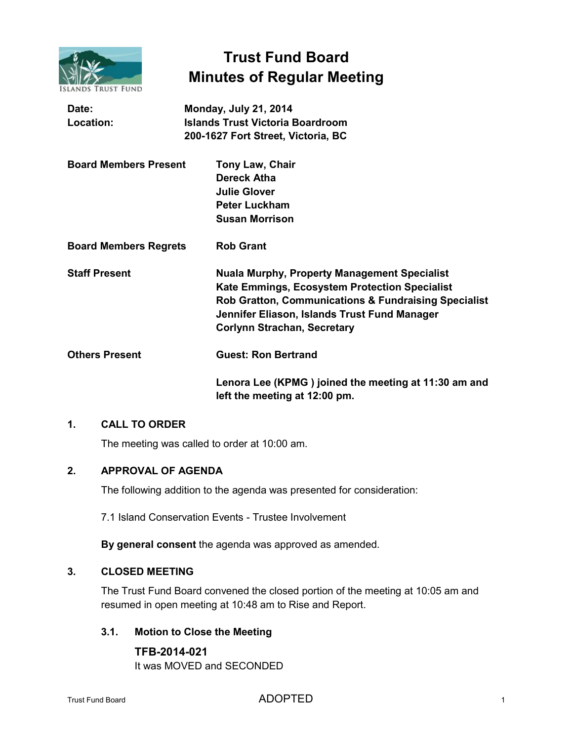

# **Trust Fund Board Minutes of Regular Meeting**

| Date:<br>Location:           | <b>Monday, July 21, 2014</b><br><b>Islands Trust Victoria Boardroom</b>                                                                                                                                                                            |
|------------------------------|----------------------------------------------------------------------------------------------------------------------------------------------------------------------------------------------------------------------------------------------------|
|                              | 200-1627 Fort Street, Victoria, BC                                                                                                                                                                                                                 |
| <b>Board Members Present</b> | Tony Law, Chair<br><b>Dereck Atha</b><br><b>Julie Glover</b>                                                                                                                                                                                       |
|                              | <b>Peter Luckham</b><br><b>Susan Morrison</b>                                                                                                                                                                                                      |
| <b>Board Members Regrets</b> | <b>Rob Grant</b>                                                                                                                                                                                                                                   |
| <b>Staff Present</b>         | <b>Nuala Murphy, Property Management Specialist</b><br>Kate Emmings, Ecosystem Protection Specialist<br>Rob Gratton, Communications & Fundraising Specialist<br>Jennifer Eliason, Islands Trust Fund Manager<br><b>Corlynn Strachan, Secretary</b> |
| <b>Others Present</b>        | <b>Guest: Ron Bertrand</b>                                                                                                                                                                                                                         |
|                              | Lenora Lee (KPMG) joined the meeting at 11:30 am and<br>left the meeting at 12:00 pm.                                                                                                                                                              |

## **1. CALL TO ORDER**

The meeting was called to order at 10:00 am.

## **2. APPROVAL OF AGENDA**

The following addition to the agenda was presented for consideration:

7.1 Island Conservation Events - Trustee Involvement

**By general consent** the agenda was approved as amended.

## **3. CLOSED MEETING**

The Trust Fund Board convened the closed portion of the meeting at 10:05 am and resumed in open meeting at 10:48 am to Rise and Report.

#### **3.1. Motion to Close the Meeting**

**TFB-2014-021** It was MOVED and SECONDED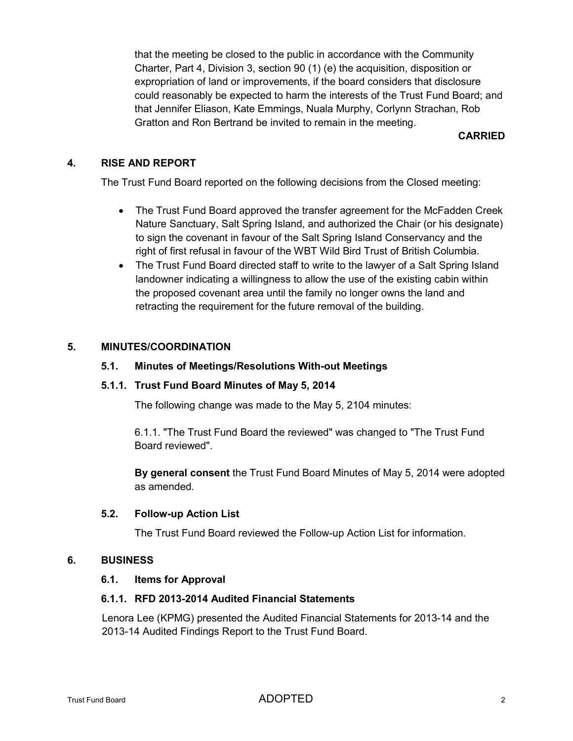that the meeting be closed to the public in accordance with the Community Charter, Part 4, Division 3, section 90 (1) (e) the acquisition, disposition or expropriation of land or improvements, if the board considers that disclosure could reasonably be expected to harm the interests of the Trust Fund Board; and that Jennifer Eliason, Kate Emmings, Nuala Murphy, Corlynn Strachan, Rob Gratton and Ron Bertrand be invited to remain in the meeting.

## **CARRIED**

## **4. RISE AND REPORT**

The Trust Fund Board reported on the following decisions from the Closed meeting:

- The Trust Fund Board approved the transfer agreement for the McFadden Creek Nature Sanctuary, Salt Spring Island, and authorized the Chair (or his designate) to sign the covenant in favour of the Salt Spring Island Conservancy and the right of first refusal in favour of the WBT Wild Bird Trust of British Columbia.
- The Trust Fund Board directed staff to write to the lawyer of a Salt Spring Island landowner indicating a willingness to allow the use of the existing cabin within the proposed covenant area until the family no longer owns the land and retracting the requirement for the future removal of the building.

## **5. MINUTES/COORDINATION**

#### **5.1. Minutes of Meetings/Resolutions With-out Meetings**

#### **5.1.1. Trust Fund Board Minutes of May 5, 2014**

The following change was made to the May 5, 2104 minutes:

6.1.1. "The Trust Fund Board the reviewed" was changed to "The Trust Fund Board reviewed".

**By general consent** the Trust Fund Board Minutes of May 5, 2014 were adopted as amended.

#### **5.2. Follow-up Action List**

The Trust Fund Board reviewed the Follow-up Action List for information.

#### **6. BUSINESS**

#### **6.1. Items for Approval**

## **6.1.1. RFD 2013-2014 Audited Financial Statements**

Lenora Lee (KPMG) presented the Audited Financial Statements for 2013-14 and the 2013-14 Audited Findings Report to the Trust Fund Board.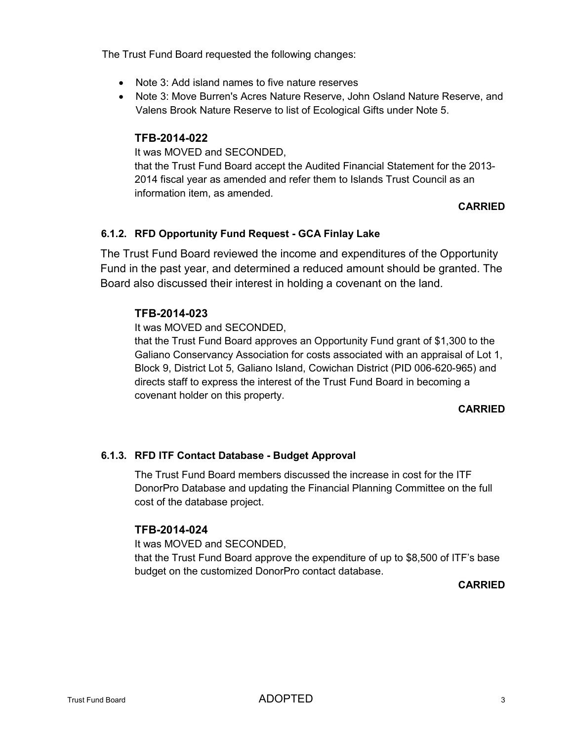The Trust Fund Board requested the following changes:

- Note 3: Add island names to five nature reserves
- Note 3: Move Burren's Acres Nature Reserve, John Osland Nature Reserve, and Valens Brook Nature Reserve to list of Ecological Gifts under Note 5.

#### **TFB-2014-022**

It was MOVED and SECONDED,

that the Trust Fund Board accept the Audited Financial Statement for the 2013- 2014 fiscal year as amended and refer them to Islands Trust Council as an information item, as amended.

## **CARRIED**

#### **6.1.2. RFD Opportunity Fund Request - GCA Finlay Lake**

The Trust Fund Board reviewed the income and expenditures of the Opportunity Fund in the past year, and determined a reduced amount should be granted. The Board also discussed their interest in holding a covenant on the land.

#### **TFB-2014-023**

It was MOVED and SECONDED,

that the Trust Fund Board approves an Opportunity Fund grant of \$1,300 to the Galiano Conservancy Association for costs associated with an appraisal of Lot 1, Block 9, District Lot 5, Galiano Island, Cowichan District (PID 006-620-965) and directs staff to express the interest of the Trust Fund Board in becoming a covenant holder on this property.

#### **CARRIED**

## **6.1.3. RFD ITF Contact Database - Budget Approval**

The Trust Fund Board members discussed the increase in cost for the ITF DonorPro Database and updating the Financial Planning Committee on the full cost of the database project.

#### **TFB-2014-024**

It was MOVED and SECONDED,

that the Trust Fund Board approve the expenditure of up to \$8,500 of ITF's base budget on the customized DonorPro contact database.

#### **CARRIED**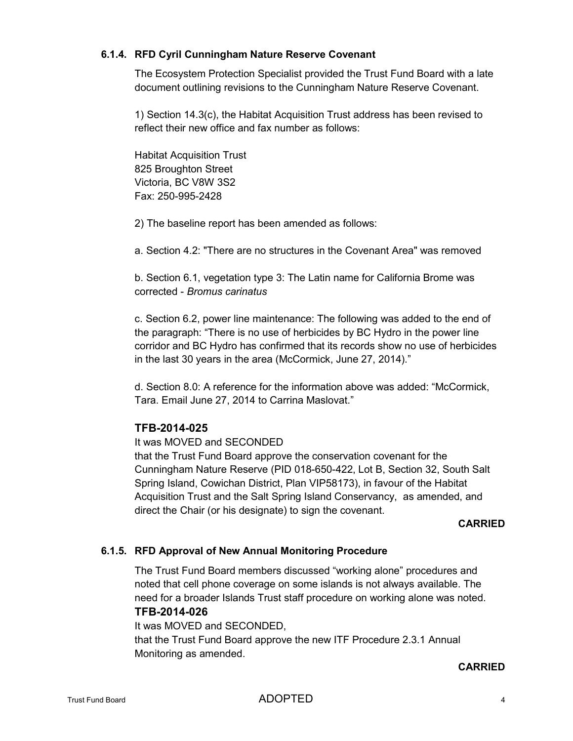## **6.1.4. RFD Cyril Cunningham Nature Reserve Covenant**

The Ecosystem Protection Specialist provided the Trust Fund Board with a late document outlining revisions to the Cunningham Nature Reserve Covenant.

1) Section 14.3(c), the Habitat Acquisition Trust address has been revised to reflect their new office and fax number as follows:

Habitat Acquisition Trust 825 Broughton Street Victoria, BC V8W 3S2 Fax: 250-995-2428

2) The baseline report has been amended as follows:

a. Section 4.2: "There are no structures in the Covenant Area" was removed

b. Section 6.1, vegetation type 3: The Latin name for California Brome was corrected - *Bromus carinatus*

c. Section 6.2, power line maintenance: The following was added to the end of the paragraph: "There is no use of herbicides by BC Hydro in the power line corridor and BC Hydro has confirmed that its records show no use of herbicides in the last 30 years in the area (McCormick, June 27, 2014)."

d. Section 8.0: A reference for the information above was added: "McCormick, Tara. Email June 27, 2014 to Carrina Maslovat."

# **TFB-2014-025**

## It was MOVED and SECONDED

that the Trust Fund Board approve the conservation covenant for the Cunningham Nature Reserve (PID 018-650-422, Lot B, Section 32, South Salt Spring Island, Cowichan District, Plan VIP58173), in favour of the Habitat Acquisition Trust and the Salt Spring Island Conservancy, as amended, and direct the Chair (or his designate) to sign the covenant.

#### **CARRIED**

## **6.1.5. RFD Approval of New Annual Monitoring Procedure**

The Trust Fund Board members discussed "working alone" procedures and noted that cell phone coverage on some islands is not always available. The need for a broader Islands Trust staff procedure on working alone was noted.

#### **TFB-2014-026**

It was MOVED and SECONDED, that the Trust Fund Board approve the new ITF Procedure 2.3.1 Annual Monitoring as amended.

#### **CARRIED**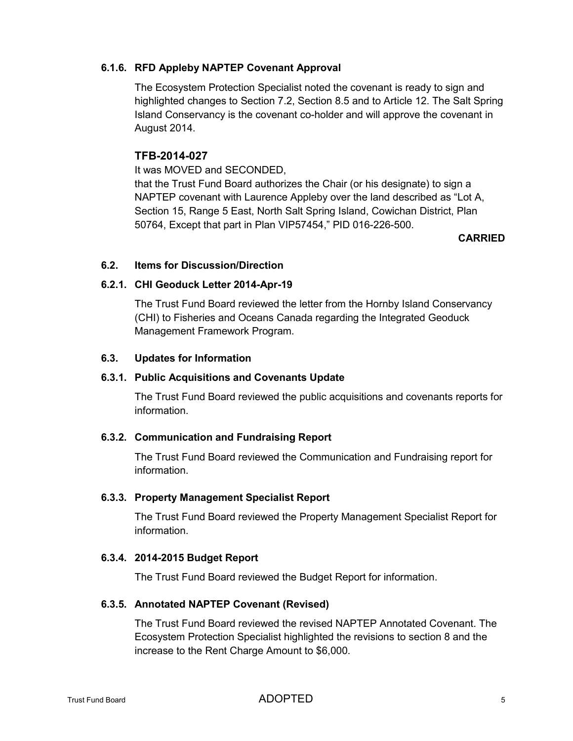## **6.1.6. RFD Appleby NAPTEP Covenant Approval**

The Ecosystem Protection Specialist noted the covenant is ready to sign and highlighted changes to Section 7.2, Section 8.5 and to Article 12. The Salt Spring Island Conservancy is the covenant co-holder and will approve the covenant in August 2014.

# **TFB-2014-027**

It was MOVED and SECONDED,

that the Trust Fund Board authorizes the Chair (or his designate) to sign a NAPTEP covenant with Laurence Appleby over the land described as "Lot A, Section 15, Range 5 East, North Salt Spring Island, Cowichan District, Plan 50764, Except that part in Plan VIP57454," PID 016-226-500.

#### **CARRIED**

## **6.2. Items for Discussion/Direction**

## **6.2.1. CHI Geoduck Letter 2014-Apr-19**

The Trust Fund Board reviewed the letter from the Hornby Island Conservancy (CHI) to Fisheries and Oceans Canada regarding the Integrated Geoduck Management Framework Program.

## **6.3. Updates for Information**

## **6.3.1. Public Acquisitions and Covenants Update**

The Trust Fund Board reviewed the public acquisitions and covenants reports for information.

## **6.3.2. Communication and Fundraising Report**

The Trust Fund Board reviewed the Communication and Fundraising report for information.

## **6.3.3. Property Management Specialist Report**

The Trust Fund Board reviewed the Property Management Specialist Report for information.

## **6.3.4. 2014-2015 Budget Report**

The Trust Fund Board reviewed the Budget Report for information.

## **6.3.5. Annotated NAPTEP Covenant (Revised)**

The Trust Fund Board reviewed the revised NAPTEP Annotated Covenant. The Ecosystem Protection Specialist highlighted the revisions to section 8 and the increase to the Rent Charge Amount to \$6,000.